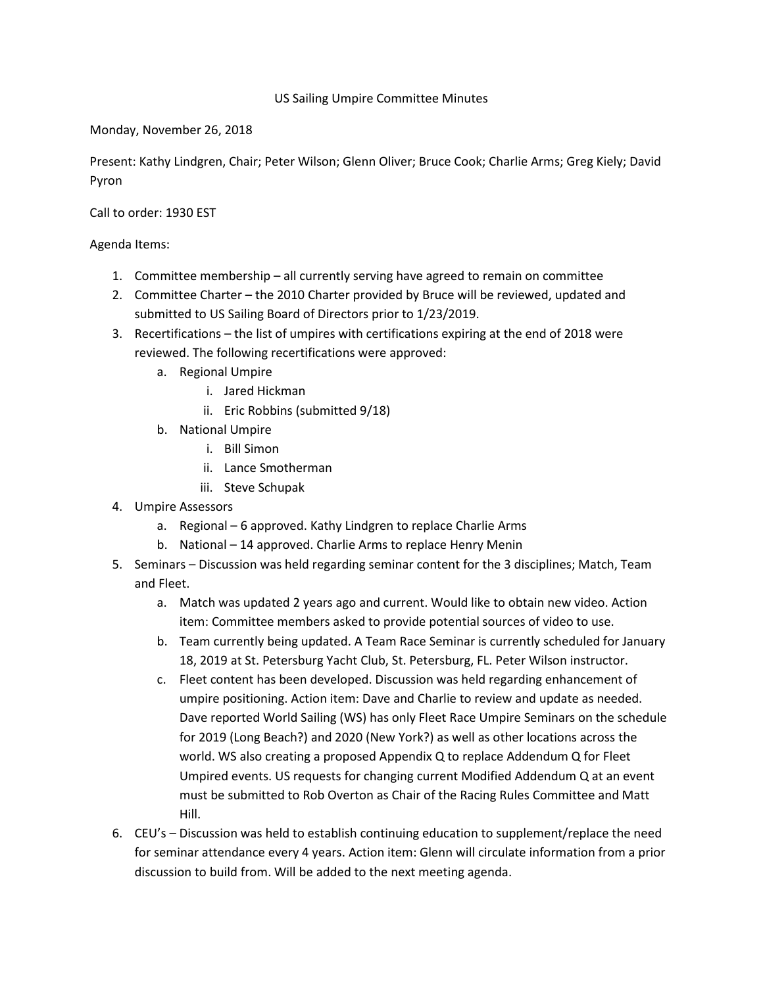## US Sailing Umpire Committee Minutes

Monday, November 26, 2018

Present: Kathy Lindgren, Chair; Peter Wilson; Glenn Oliver; Bruce Cook; Charlie Arms; Greg Kiely; David Pyron

Call to order: 1930 EST

Agenda Items:

- 1. Committee membership all currently serving have agreed to remain on committee
- 2. Committee Charter the 2010 Charter provided by Bruce will be reviewed, updated and submitted to US Sailing Board of Directors prior to 1/23/2019.
- 3. Recertifications the list of umpires with certifications expiring at the end of 2018 were reviewed. The following recertifications were approved:
	- a. Regional Umpire
		- i. Jared Hickman
		- ii. Eric Robbins (submitted 9/18)
	- b. National Umpire
		- i. Bill Simon
		- ii. Lance Smotherman
		- iii. Steve Schupak
- 4. Umpire Assessors
	- a. Regional 6 approved. Kathy Lindgren to replace Charlie Arms
	- b. National 14 approved. Charlie Arms to replace Henry Menin
- 5. Seminars Discussion was held regarding seminar content for the 3 disciplines; Match, Team and Fleet.
	- a. Match was updated 2 years ago and current. Would like to obtain new video. Action item: Committee members asked to provide potential sources of video to use.
	- b. Team currently being updated. A Team Race Seminar is currently scheduled for January 18, 2019 at St. Petersburg Yacht Club, St. Petersburg, FL. Peter Wilson instructor.
	- c. Fleet content has been developed. Discussion was held regarding enhancement of umpire positioning. Action item: Dave and Charlie to review and update as needed. Dave reported World Sailing (WS) has only Fleet Race Umpire Seminars on the schedule for 2019 (Long Beach?) and 2020 (New York?) as well as other locations across the world. WS also creating a proposed Appendix Q to replace Addendum Q for Fleet Umpired events. US requests for changing current Modified Addendum Q at an event must be submitted to Rob Overton as Chair of the Racing Rules Committee and Matt Hill.
- 6. CEU's Discussion was held to establish continuing education to supplement/replace the need for seminar attendance every 4 years. Action item: Glenn will circulate information from a prior discussion to build from. Will be added to the next meeting agenda.